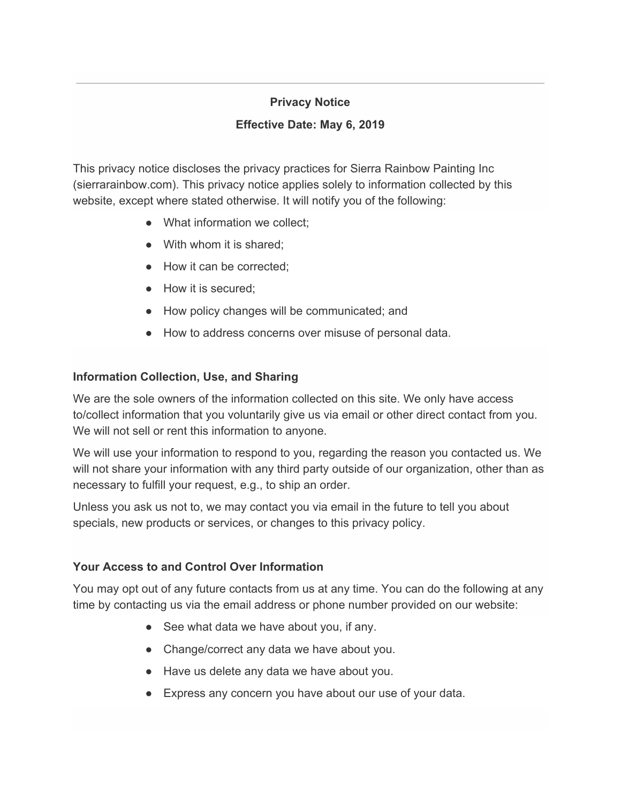## **Privacy Notice**

### **Effective Date: May 6, 2019**

This privacy notice discloses the privacy practices for Sierra Rainbow Painting Inc (sierrarainbow.com). This privacy notice applies solely to information collected by this website, except where stated otherwise. It will notify you of the following:

- What information we collect;
- With whom it is shared:
- How it can be corrected:
- How it is secured:
- How policy changes will be communicated; and
- How to address concerns over misuse of personal data.

# **Information Collection, Use, and Sharing**

We are the sole owners of the information collected on this site. We only have access to/collect information that you voluntarily give us via email or other direct contact from you. We will not sell or rent this information to anyone.

We will use your information to respond to you, regarding the reason you contacted us. We will not share your information with any third party outside of our organization, other than as necessary to fulfill your request, e.g., to ship an order.

Unless you ask us not to, we may contact you via email in the future to tell you about specials, new products or services, or changes to this privacy policy.

# **Your Access to and Control Over Information**

You may opt out of any future contacts from us at any time. You can do the following at any time by contacting us via the email address or phone number provided on our website:

- See what data we have about you, if any.
- Change/correct any data we have about you.
- Have us delete any data we have about you.
- Express any concern you have about our use of your data.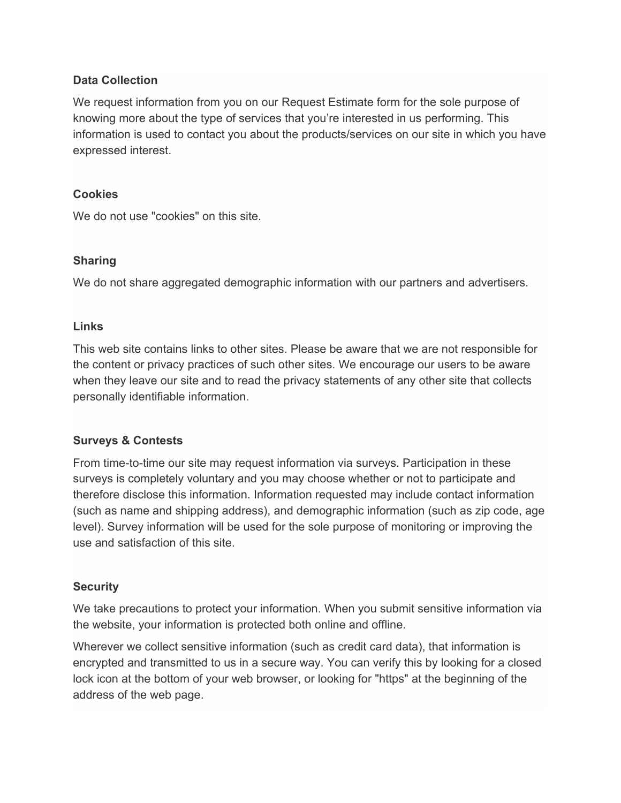### **Data Collection**

We request information from you on our Request Estimate form for the sole purpose of knowing more about the type of services that you're interested in us performing. This information is used to contact you about the products/services on our site in which you have expressed interest.

#### **Cookies**

We do not use "cookies" on this site.

### **Sharing**

We do not share aggregated demographic information with our partners and advertisers.

#### **Links**

This web site contains links to other sites. Please be aware that we are not responsible for the content or privacy practices of such other sites. We encourage our users to be aware when they leave our site and to read the privacy statements of any other site that collects personally identifiable information.

### **Surveys & Contests**

From time-to-time our site may request information via surveys. Participation in these surveys is completely voluntary and you may choose whether or not to participate and therefore disclose this information. Information requested may include contact information (such as name and shipping address), and demographic information (such as zip code, age level). Survey information will be used for the sole purpose of monitoring or improving the use and satisfaction of this site.

### **Security**

We take precautions to protect your information. When you submit sensitive information via the website, your information is protected both online and offline.

Wherever we collect sensitive information (such as credit card data), that information is encrypted and transmitted to us in a secure way. You can verify this by looking for a closed lock icon at the bottom of your web browser, or looking for "https" at the beginning of the address of the web page.